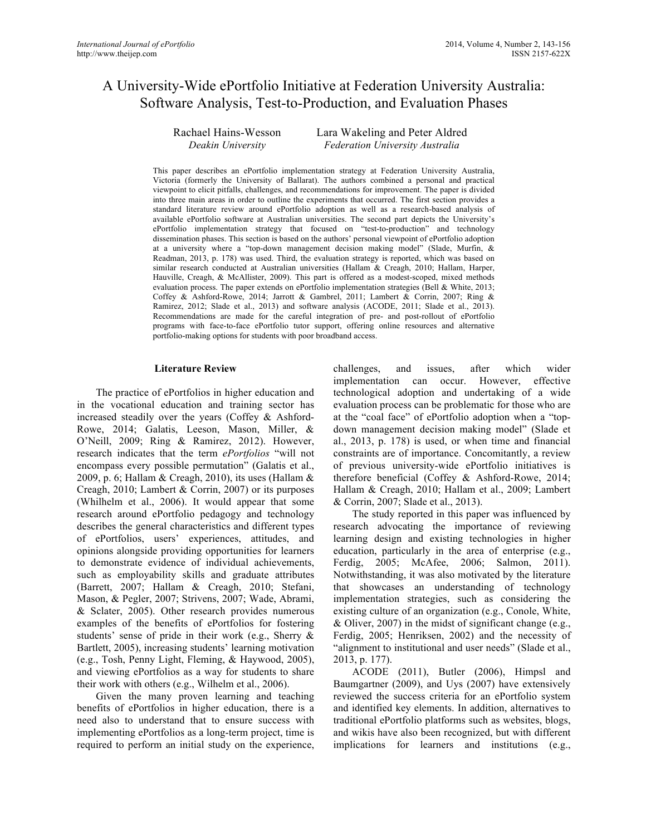# A University-Wide ePortfolio Initiative at Federation University Australia: Software Analysis, Test-to-Production, and Evaluation Phases

| Rachael Hains-Wesson | Lara Wakeling and Peter Aldred         |  |  |  |
|----------------------|----------------------------------------|--|--|--|
| Deakin University    | <b>Federation University Australia</b> |  |  |  |

This paper describes an ePortfolio implementation strategy at Federation University Australia, Victoria (formerly the University of Ballarat). The authors combined a personal and practical viewpoint to elicit pitfalls, challenges, and recommendations for improvement. The paper is divided into three main areas in order to outline the experiments that occurred. The first section provides a standard literature review around ePortfolio adoption as well as a research-based analysis of available ePortfolio software at Australian universities. The second part depicts the University's ePortfolio implementation strategy that focused on "test-to-production" and technology dissemination phases. This section is based on the authors' personal viewpoint of ePortfolio adoption at a university where a "top-down management decision making model" (Slade, Murfin, & Readman, 2013, p. 178) was used. Third, the evaluation strategy is reported, which was based on similar research conducted at Australian universities (Hallam & Creagh, 2010; Hallam, Harper, Hauville, Creagh, & McAllister, 2009). This part is offered as a modest-scoped, mixed methods evaluation process. The paper extends on ePortfolio implementation strategies (Bell & White, 2013; Coffey & Ashford-Rowe, 2014; Jarrott & Gambrel, 2011; Lambert & Corrin, 2007; Ring & Ramirez, 2012; Slade et al., 2013) and software analysis (ACODE, 2011; Slade et al., 2013). Recommendations are made for the careful integration of pre- and post-rollout of ePortfolio programs with face-to-face ePortfolio tutor support, offering online resources and alternative portfolio-making options for students with poor broadband access.

## **Literature Review**

The practice of ePortfolios in higher education and in the vocational education and training sector has increased steadily over the years (Coffey & Ashford-Rowe, 2014; Galatis, Leeson, Mason, Miller, & O'Neill, 2009; Ring & Ramirez, 2012). However, research indicates that the term *ePortfolios* "will not encompass every possible permutation" (Galatis et al., 2009, p. 6; Hallam & Creagh, 2010), its uses (Hallam & Creagh, 2010; Lambert & Corrin, 2007) or its purposes (Whilhelm et al., 2006). It would appear that some research around ePortfolio pedagogy and technology describes the general characteristics and different types of ePortfolios, users' experiences, attitudes, and opinions alongside providing opportunities for learners to demonstrate evidence of individual achievements, such as employability skills and graduate attributes (Barrett, 2007; Hallam & Creagh, 2010; Stefani, Mason, & Pegler, 2007; Strivens, 2007; Wade, Abrami, & Sclater, 2005). Other research provides numerous examples of the benefits of ePortfolios for fostering students' sense of pride in their work (e.g., Sherry & Bartlett, 2005), increasing students' learning motivation (e.g., Tosh, Penny Light, Fleming, & Haywood, 2005), and viewing ePortfolios as a way for students to share their work with others (e.g., Wilhelm et al., 2006).

Given the many proven learning and teaching benefits of ePortfolios in higher education, there is a need also to understand that to ensure success with implementing ePortfolios as a long-term project, time is required to perform an initial study on the experience, challenges, and issues, after which wider implementation can occur. However, effective technological adoption and undertaking of a wide evaluation process can be problematic for those who are at the "coal face" of ePortfolio adoption when a "topdown management decision making model" (Slade et al., 2013, p. 178) is used, or when time and financial constraints are of importance. Concomitantly, a review of previous university-wide ePortfolio initiatives is therefore beneficial (Coffey & Ashford-Rowe, 2014; Hallam & Creagh, 2010; Hallam et al., 2009; Lambert & Corrin, 2007; Slade et al., 2013).

The study reported in this paper was influenced by research advocating the importance of reviewing learning design and existing technologies in higher education, particularly in the area of enterprise (e.g., Ferdig, 2005; McAfee, 2006; Salmon, 2011). Notwithstanding, it was also motivated by the literature that showcases an understanding of technology implementation strategies, such as considering the existing culture of an organization (e.g., Conole, White, & Oliver, 2007) in the midst of significant change (e.g., Ferdig, 2005; Henriksen, 2002) and the necessity of "alignment to institutional and user needs" (Slade et al., 2013, p. 177).

ACODE (2011), Butler (2006), Himpsl and Baumgartner (2009), and Uys (2007) have extensively reviewed the success criteria for an ePortfolio system and identified key elements. In addition, alternatives to traditional ePortfolio platforms such as websites, blogs, and wikis have also been recognized, but with different implications for learners and institutions (e.g.,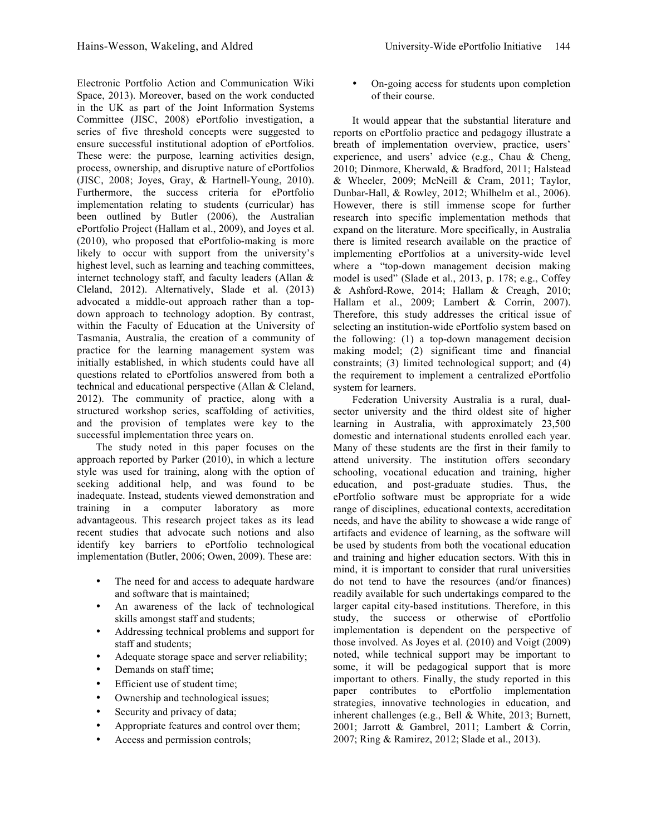Electronic Portfolio Action and Communication Wiki Space, 2013). Moreover, based on the work conducted in the UK as part of the Joint Information Systems Committee (JISC, 2008) ePortfolio investigation, a series of five threshold concepts were suggested to ensure successful institutional adoption of ePortfolios. These were: the purpose, learning activities design, process, ownership, and disruptive nature of ePortfolios (JISC, 2008; Joyes, Gray, & Hartnell-Young, 2010). Furthermore, the success criteria for ePortfolio implementation relating to students (curricular) has been outlined by Butler (2006), the Australian ePortfolio Project (Hallam et al., 2009), and Joyes et al. (2010), who proposed that ePortfolio-making is more likely to occur with support from the university's highest level, such as learning and teaching committees, internet technology staff, and faculty leaders (Allan & Cleland, 2012). Alternatively, Slade et al. (2013) advocated a middle-out approach rather than a topdown approach to technology adoption. By contrast, within the Faculty of Education at the University of Tasmania, Australia, the creation of a community of practice for the learning management system was initially established, in which students could have all questions related to ePortfolios answered from both a technical and educational perspective (Allan & Cleland, 2012). The community of practice, along with a structured workshop series, scaffolding of activities, and the provision of templates were key to the successful implementation three years on.

The study noted in this paper focuses on the approach reported by Parker (2010), in which a lecture style was used for training, along with the option of seeking additional help, and was found to be inadequate. Instead, students viewed demonstration and training in a computer laboratory as more advantageous. This research project takes as its lead recent studies that advocate such notions and also identify key barriers to ePortfolio technological implementation (Butler, 2006; Owen, 2009). These are:

- The need for and access to adequate hardware and software that is maintained;
- An awareness of the lack of technological skills amongst staff and students;
- Addressing technical problems and support for staff and students;
- Adequate storage space and server reliability;
- Demands on staff time:
- Efficient use of student time;
- Ownership and technological issues;
- Security and privacy of data;
- Appropriate features and control over them;
- Access and permission controls;

• On-going access for students upon completion of their course.

It would appear that the substantial literature and reports on ePortfolio practice and pedagogy illustrate a breath of implementation overview, practice, users' experience, and users' advice (e.g., Chau & Cheng, 2010; Dinmore, Kherwald, & Bradford, 2011; Halstead & Wheeler, 2009; McNeill & Cram, 2011; Taylor, Dunbar-Hall, & Rowley, 2012; Whilhelm et al., 2006). However, there is still immense scope for further research into specific implementation methods that expand on the literature. More specifically, in Australia there is limited research available on the practice of implementing ePortfolios at a university-wide level where a "top-down management decision making model is used" (Slade et al., 2013, p. 178; e.g., Coffey & Ashford-Rowe, 2014; Hallam & Creagh, 2010; Hallam et al., 2009; Lambert & Corrin, 2007). Therefore, this study addresses the critical issue of selecting an institution-wide ePortfolio system based on the following: (1) a top-down management decision making model; (2) significant time and financial constraints; (3) limited technological support; and (4) the requirement to implement a centralized ePortfolio system for learners.

Federation University Australia is a rural, dualsector university and the third oldest site of higher learning in Australia, with approximately 23,500 domestic and international students enrolled each year. Many of these students are the first in their family to attend university. The institution offers secondary schooling, vocational education and training, higher education, and post-graduate studies. Thus, the ePortfolio software must be appropriate for a wide range of disciplines, educational contexts, accreditation needs, and have the ability to showcase a wide range of artifacts and evidence of learning, as the software will be used by students from both the vocational education and training and higher education sectors. With this in mind, it is important to consider that rural universities do not tend to have the resources (and/or finances) readily available for such undertakings compared to the larger capital city-based institutions. Therefore, in this study, the success or otherwise of ePortfolio implementation is dependent on the perspective of those involved. As Joyes et al. (2010) and Voigt (2009) noted, while technical support may be important to some, it will be pedagogical support that is more important to others. Finally, the study reported in this paper contributes to ePortfolio implementation strategies, innovative technologies in education, and inherent challenges (e.g., Bell & White, 2013; Burnett, 2001; Jarrott & Gambrel, 2011; Lambert & Corrin, 2007; Ring & Ramirez, 2012; Slade et al., 2013).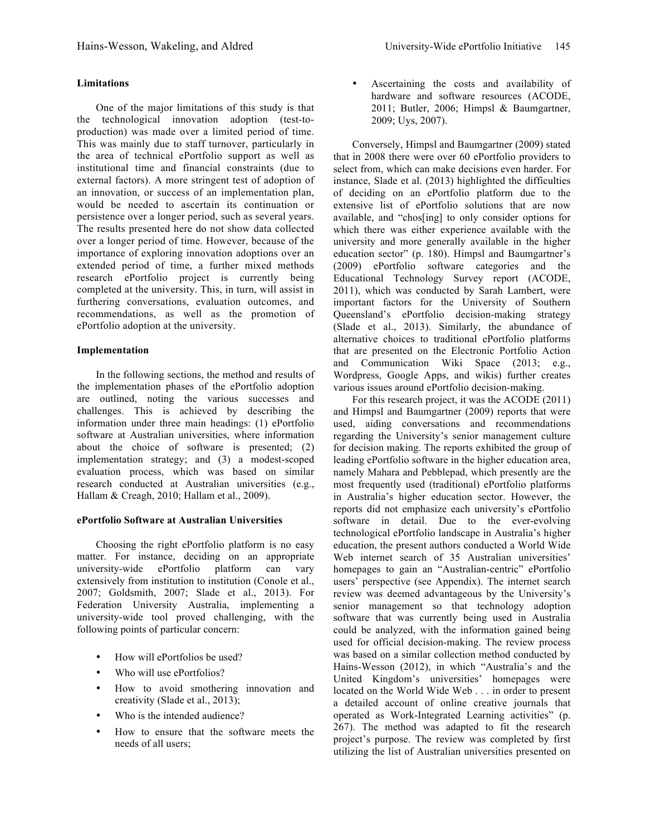# **Limitations**

One of the major limitations of this study is that the technological innovation adoption (test-toproduction) was made over a limited period of time. This was mainly due to staff turnover, particularly in the area of technical ePortfolio support as well as institutional time and financial constraints (due to external factors). A more stringent test of adoption of an innovation, or success of an implementation plan, would be needed to ascertain its continuation or persistence over a longer period, such as several years. The results presented here do not show data collected over a longer period of time. However, because of the importance of exploring innovation adoptions over an extended period of time, a further mixed methods research ePortfolio project is currently being completed at the university. This, in turn, will assist in furthering conversations, evaluation outcomes, and recommendations, as well as the promotion of ePortfolio adoption at the university.

# **Implementation**

In the following sections, the method and results of the implementation phases of the ePortfolio adoption are outlined, noting the various successes and challenges. This is achieved by describing the information under three main headings: (1) ePortfolio software at Australian universities, where information about the choice of software is presented; (2) implementation strategy; and (3) a modest-scoped evaluation process, which was based on similar research conducted at Australian universities (e.g., Hallam & Creagh, 2010; Hallam et al., 2009).

# **ePortfolio Software at Australian Universities**

Choosing the right ePortfolio platform is no easy matter. For instance, deciding on an appropriate university-wide ePortfolio platform can vary extensively from institution to institution (Conole et al., 2007; Goldsmith, 2007; Slade et al., 2013). For Federation University Australia, implementing a university-wide tool proved challenging, with the following points of particular concern:

- How will ePortfolios be used?
- Who will use ePortfolios?
- How to avoid smothering innovation and creativity (Slade et al., 2013);
- Who is the intended audience?
- How to ensure that the software meets the needs of all users;

• Ascertaining the costs and availability of hardware and software resources (ACODE, 2011; Butler, 2006; Himpsl & Baumgartner, 2009; Uys, 2007).

Conversely, Himpsl and Baumgartner (2009) stated that in 2008 there were over 60 ePortfolio providers to select from, which can make decisions even harder. For instance, Slade et al. (2013) highlighted the difficulties of deciding on an ePortfolio platform due to the extensive list of ePortfolio solutions that are now available, and "chos[ing] to only consider options for which there was either experience available with the university and more generally available in the higher education sector" (p. 180). Himpsl and Baumgartner's (2009) ePortfolio software categories and the Educational Technology Survey report (ACODE, 2011), which was conducted by Sarah Lambert, were important factors for the University of Southern Queensland's ePortfolio decision-making strategy (Slade et al., 2013). Similarly, the abundance of alternative choices to traditional ePortfolio platforms that are presented on the Electronic Portfolio Action and Communication Wiki Space (2013; e.g., Wordpress, Google Apps, and wikis) further creates various issues around ePortfolio decision-making.

For this research project, it was the ACODE (2011) and Himpsl and Baumgartner (2009) reports that were used, aiding conversations and recommendations regarding the University's senior management culture for decision making. The reports exhibited the group of leading ePortfolio software in the higher education area, namely Mahara and Pebblepad, which presently are the most frequently used (traditional) ePortfolio platforms in Australia's higher education sector. However, the reports did not emphasize each university's ePortfolio software in detail. Due to the ever-evolving technological ePortfolio landscape in Australia's higher education, the present authors conducted a World Wide Web internet search of 35 Australian universities' homepages to gain an "Australian-centric" ePortfolio users' perspective (see Appendix). The internet search review was deemed advantageous by the University's senior management so that technology adoption software that was currently being used in Australia could be analyzed, with the information gained being used for official decision-making. The review process was based on a similar collection method conducted by Hains-Wesson (2012), in which "Australia's and the United Kingdom's universities' homepages were located on the World Wide Web . . . in order to present a detailed account of online creative journals that operated as Work-Integrated Learning activities" (p. 267). The method was adapted to fit the research project's purpose. The review was completed by first utilizing the list of Australian universities presented on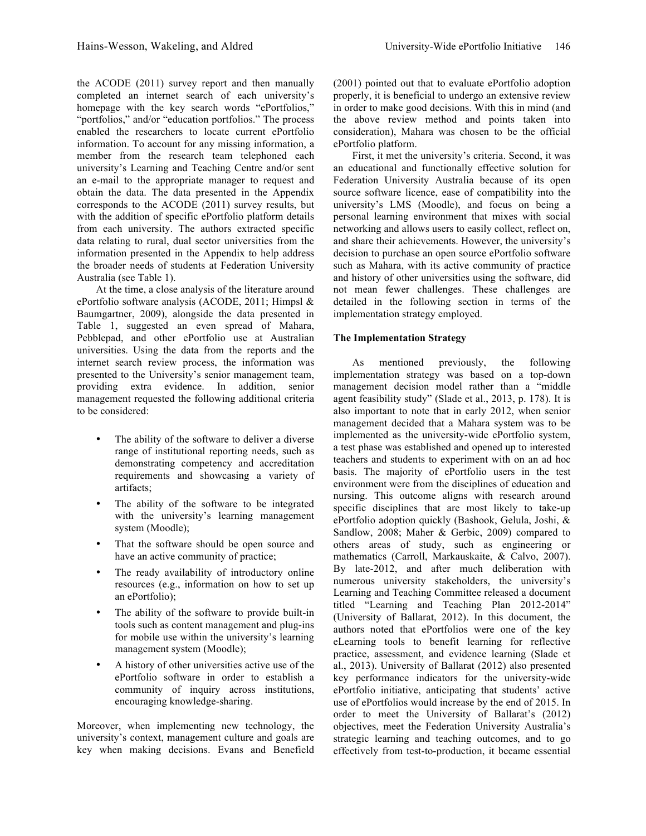the ACODE (2011) survey report and then manually completed an internet search of each university's homepage with the key search words "ePortfolios," "portfolios," and/or "education portfolios." The process enabled the researchers to locate current ePortfolio information. To account for any missing information, a member from the research team telephoned each university's Learning and Teaching Centre and/or sent an e-mail to the appropriate manager to request and obtain the data. The data presented in the Appendix corresponds to the ACODE (2011) survey results, but with the addition of specific ePortfolio platform details from each university. The authors extracted specific data relating to rural, dual sector universities from the information presented in the Appendix to help address the broader needs of students at Federation University Australia (see Table 1).

At the time, a close analysis of the literature around ePortfolio software analysis (ACODE, 2011; Himpsl & Baumgartner, 2009), alongside the data presented in Table 1, suggested an even spread of Mahara, Pebblepad, and other ePortfolio use at Australian universities. Using the data from the reports and the internet search review process, the information was presented to the University's senior management team, providing extra evidence. In addition, senior management requested the following additional criteria to be considered:

- The ability of the software to deliver a diverse range of institutional reporting needs, such as demonstrating competency and accreditation requirements and showcasing a variety of artifacts;
- The ability of the software to be integrated with the university's learning management system (Moodle);
- That the software should be open source and have an active community of practice;
- The ready availability of introductory online resources (e.g., information on how to set up an ePortfolio);
- The ability of the software to provide built-in tools such as content management and plug-ins for mobile use within the university's learning management system (Moodle);
- A history of other universities active use of the ePortfolio software in order to establish a community of inquiry across institutions, encouraging knowledge-sharing.

Moreover, when implementing new technology, the university's context, management culture and goals are key when making decisions. Evans and Benefield ePortfolio platform. First, it met the university's criteria. Second, it was an educational and functionally effective solution for Federation University Australia because of its open source software licence, ease of compatibility into the university's LMS (Moodle), and focus on being a personal learning environment that mixes with social networking and allows users to easily collect, reflect on, and share their achievements. However, the university's decision to purchase an open source ePortfolio software such as Mahara, with its active community of practice and history of other universities using the software, did not mean fewer challenges. These challenges are detailed in the following section in terms of the implementation strategy employed.

# **The Implementation Strategy**

As mentioned previously, the following implementation strategy was based on a top-down management decision model rather than a "middle agent feasibility study" (Slade et al., 2013, p. 178). It is also important to note that in early 2012, when senior management decided that a Mahara system was to be implemented as the university-wide ePortfolio system, a test phase was established and opened up to interested teachers and students to experiment with on an ad hoc basis. The majority of ePortfolio users in the test environment were from the disciplines of education and nursing. This outcome aligns with research around specific disciplines that are most likely to take-up ePortfolio adoption quickly (Bashook, Gelula, Joshi, & Sandlow, 2008; Maher & Gerbic, 2009) compared to others areas of study, such as engineering or mathematics (Carroll, Markauskaite, & Calvo, 2007). By late-2012, and after much deliberation with numerous university stakeholders, the university's Learning and Teaching Committee released a document titled "Learning and Teaching Plan 2012-2014" (University of Ballarat, 2012). In this document, the authors noted that ePortfolios were one of the key eLearning tools to benefit learning for reflective practice, assessment, and evidence learning (Slade et al., 2013). University of Ballarat (2012) also presented key performance indicators for the university-wide ePortfolio initiative, anticipating that students' active use of ePortfolios would increase by the end of 2015. In order to meet the University of Ballarat's (2012) objectives, meet the Federation University Australia's strategic learning and teaching outcomes, and to go effectively from test-to-production, it became essential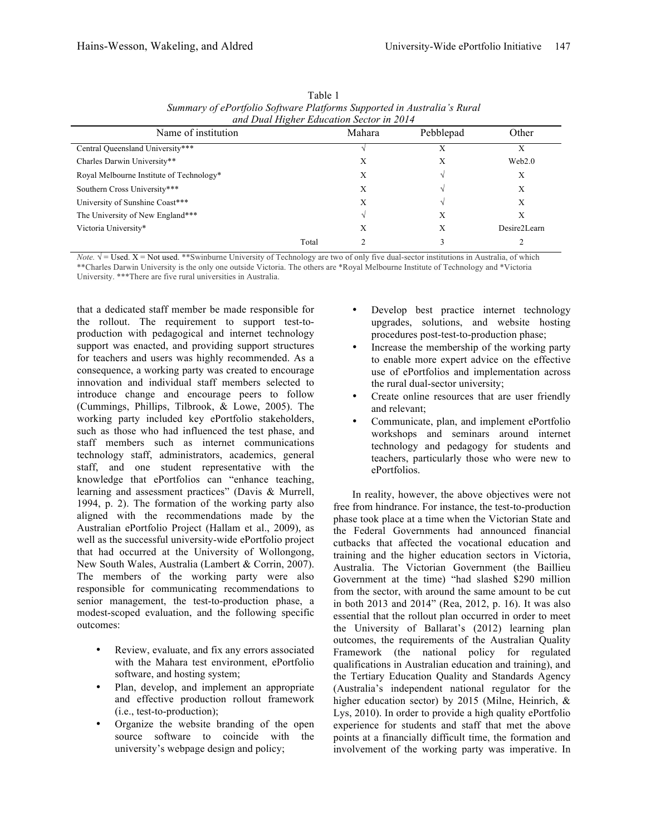| Name of institution                      | Mahara | Pebblepad | Other        |
|------------------------------------------|--------|-----------|--------------|
| Central Queensland University***         |        | Х         | Х            |
| Charles Darwin University**              | Х      | Х         | Web2.0       |
| Royal Melbourne Institute of Technology* | Х      |           | Х            |
| Southern Cross University***             | Х      |           | Х            |
| University of Sunshine Coast***          | X      |           | X            |
| The University of New England***         |        | Х         | Х            |
| Victoria University*                     | Х      | Х         | Desire2Learn |
| Total                                    |        |           |              |

| Table 1                                                                 |
|-------------------------------------------------------------------------|
| Summary of ePortfolio Software Platforms Supported in Australia's Rural |
| and Dual Higher Education Sector in 2014                                |

*Note.*  $\sqrt{ }$  = Used.  $X$  = Not used. \*\*Swinburne University of Technology are two of only five dual-sector institutions in Australia, of which \*\*Charles Darwin University is the only one outside Victoria. The others are \*Royal Melbourne Institute of Technology and \*Victoria University. \*\*\*There are five rural universities in Australia.

that a dedicated staff member be made responsible for the rollout. The requirement to support test-toproduction with pedagogical and internet technology support was enacted, and providing support structures for teachers and users was highly recommended. As a consequence, a working party was created to encourage innovation and individual staff members selected to introduce change and encourage peers to follow (Cummings, Phillips, Tilbrook, & Lowe, 2005). The working party included key ePortfolio stakeholders, such as those who had influenced the test phase, and staff members such as internet communications technology staff, administrators, academics, general staff, and one student representative with the knowledge that ePortfolios can "enhance teaching, learning and assessment practices" (Davis & Murrell, 1994, p. 2). The formation of the working party also aligned with the recommendations made by the Australian ePortfolio Project (Hallam et al., 2009), as well as the successful university-wide ePortfolio project that had occurred at the University of Wollongong, New South Wales, Australia (Lambert & Corrin, 2007). The members of the working party were also responsible for communicating recommendations to senior management, the test-to-production phase, a modest-scoped evaluation, and the following specific outcomes:

- Review, evaluate, and fix any errors associated with the Mahara test environment, ePortfolio software, and hosting system;
- Plan, develop, and implement an appropriate and effective production rollout framework (i.e., test-to-production);
- Organize the website branding of the open source software to coincide with the university's webpage design and policy;
- Develop best practice internet technology upgrades, solutions, and website hosting procedures post-test-to-production phase;
- Increase the membership of the working party to enable more expert advice on the effective use of ePortfolios and implementation across the rural dual-sector university;
- Create online resources that are user friendly and relevant;
- Communicate, plan, and implement ePortfolio workshops and seminars around internet technology and pedagogy for students and teachers, particularly those who were new to ePortfolios.

In reality, however, the above objectives were not free from hindrance. For instance, the test-to-production phase took place at a time when the Victorian State and the Federal Governments had announced financial cutbacks that affected the vocational education and training and the higher education sectors in Victoria, Australia. The Victorian Government (the Baillieu Government at the time) "had slashed \$290 million from the sector, with around the same amount to be cut in both 2013 and 2014" (Rea, 2012, p. 16). It was also essential that the rollout plan occurred in order to meet the University of Ballarat's (2012) learning plan outcomes, the requirements of the Australian Quality Framework (the national policy for regulated qualifications in Australian education and training), and the Tertiary Education Quality and Standards Agency (Australia's independent national regulator for the higher education sector) by 2015 (Milne, Heinrich, & Lys, 2010). In order to provide a high quality ePortfolio experience for students and staff that met the above points at a financially difficult time, the formation and involvement of the working party was imperative. In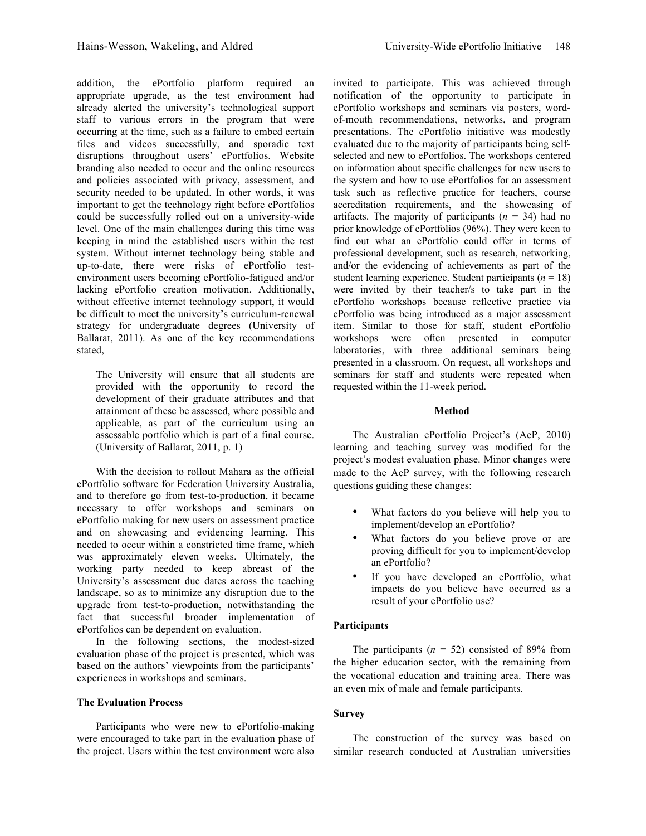addition, the ePortfolio platform required an appropriate upgrade, as the test environment had already alerted the university's technological support staff to various errors in the program that were occurring at the time, such as a failure to embed certain files and videos successfully, and sporadic text disruptions throughout users' ePortfolios. Website branding also needed to occur and the online resources and policies associated with privacy, assessment, and security needed to be updated. In other words, it was important to get the technology right before ePortfolios could be successfully rolled out on a university-wide level. One of the main challenges during this time was keeping in mind the established users within the test system. Without internet technology being stable and up-to-date, there were risks of ePortfolio testenvironment users becoming ePortfolio-fatigued and/or lacking ePortfolio creation motivation. Additionally, without effective internet technology support, it would be difficult to meet the university's curriculum-renewal strategy for undergraduate degrees (University of Ballarat, 2011). As one of the key recommendations stated,

The University will ensure that all students are provided with the opportunity to record the development of their graduate attributes and that attainment of these be assessed, where possible and applicable, as part of the curriculum using an assessable portfolio which is part of a final course. (University of Ballarat, 2011, p. 1)

With the decision to rollout Mahara as the official ePortfolio software for Federation University Australia, and to therefore go from test-to-production, it became necessary to offer workshops and seminars on ePortfolio making for new users on assessment practice and on showcasing and evidencing learning. This needed to occur within a constricted time frame, which was approximately eleven weeks. Ultimately, the working party needed to keep abreast of the University's assessment due dates across the teaching landscape, so as to minimize any disruption due to the upgrade from test-to-production, notwithstanding the fact that successful broader implementation of ePortfolios can be dependent on evaluation.

In the following sections, the modest-sized evaluation phase of the project is presented, which was based on the authors' viewpoints from the participants' experiences in workshops and seminars.

# **The Evaluation Process**

Participants who were new to ePortfolio-making were encouraged to take part in the evaluation phase of the project. Users within the test environment were also invited to participate. This was achieved through notification of the opportunity to participate in ePortfolio workshops and seminars via posters, wordof-mouth recommendations, networks, and program presentations. The ePortfolio initiative was modestly evaluated due to the majority of participants being selfselected and new to ePortfolios. The workshops centered on information about specific challenges for new users to the system and how to use ePortfolios for an assessment task such as reflective practice for teachers, course accreditation requirements, and the showcasing of artifacts. The majority of participants  $(n = 34)$  had no prior knowledge of ePortfolios (96%). They were keen to find out what an ePortfolio could offer in terms of professional development, such as research, networking, and/or the evidencing of achievements as part of the student learning experience. Student participants  $(n = 18)$ were invited by their teacher/s to take part in the ePortfolio workshops because reflective practice via ePortfolio was being introduced as a major assessment item. Similar to those for staff, student ePortfolio workshops were often presented in computer laboratories, with three additional seminars being presented in a classroom. On request, all workshops and seminars for staff and students were repeated when requested within the 11-week period.

### **Method**

The Australian ePortfolio Project's (AeP, 2010) learning and teaching survey was modified for the project's modest evaluation phase. Minor changes were made to the AeP survey, with the following research questions guiding these changes:

- What factors do you believe will help you to implement/develop an ePortfolio?
- What factors do you believe prove or are proving difficult for you to implement/develop an ePortfolio?
- If you have developed an ePortfolio, what impacts do you believe have occurred as a result of your ePortfolio use?

### **Participants**

The participants  $(n = 52)$  consisted of 89% from the higher education sector, with the remaining from the vocational education and training area. There was an even mix of male and female participants.

#### **Survey**

The construction of the survey was based on similar research conducted at Australian universities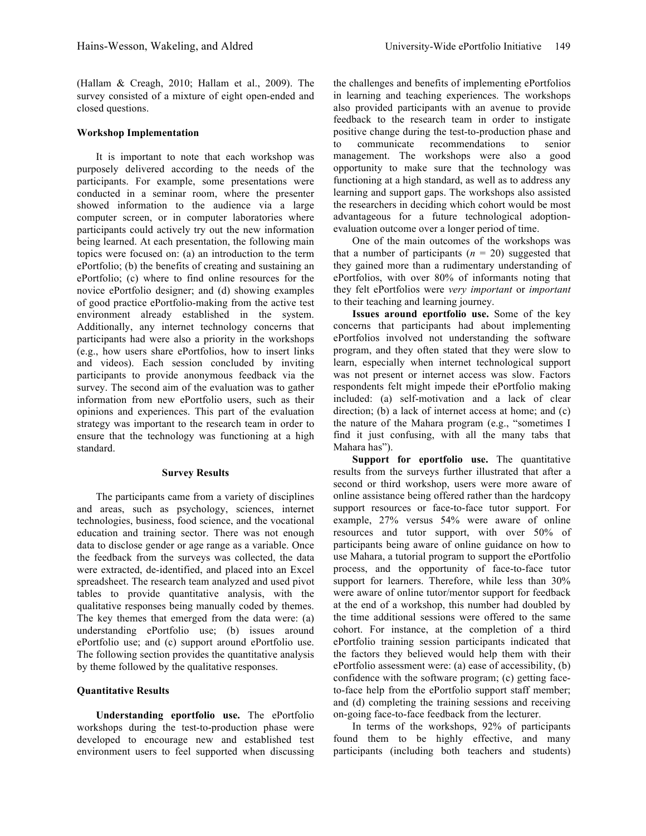(Hallam & Creagh, 2010; Hallam et al., 2009). The survey consisted of a mixture of eight open-ended and closed questions.

#### **Workshop Implementation**

It is important to note that each workshop was purposely delivered according to the needs of the participants. For example, some presentations were conducted in a seminar room, where the presenter showed information to the audience via a large computer screen, or in computer laboratories where participants could actively try out the new information being learned. At each presentation, the following main topics were focused on: (a) an introduction to the term ePortfolio; (b) the benefits of creating and sustaining an ePortfolio; (c) where to find online resources for the novice ePortfolio designer; and (d) showing examples of good practice ePortfolio-making from the active test environment already established in the system. Additionally, any internet technology concerns that participants had were also a priority in the workshops (e.g., how users share ePortfolios, how to insert links and videos). Each session concluded by inviting participants to provide anonymous feedback via the survey. The second aim of the evaluation was to gather information from new ePortfolio users, such as their opinions and experiences. This part of the evaluation strategy was important to the research team in order to ensure that the technology was functioning at a high standard.

### **Survey Results**

The participants came from a variety of disciplines and areas, such as psychology, sciences, internet technologies, business, food science, and the vocational education and training sector. There was not enough data to disclose gender or age range as a variable. Once the feedback from the surveys was collected, the data were extracted, de-identified, and placed into an Excel spreadsheet. The research team analyzed and used pivot tables to provide quantitative analysis, with the qualitative responses being manually coded by themes. The key themes that emerged from the data were: (a) understanding ePortfolio use; (b) issues around ePortfolio use; and (c) support around ePortfolio use. The following section provides the quantitative analysis by theme followed by the qualitative responses.

## **Quantitative Results**

**Understanding eportfolio use.** The ePortfolio workshops during the test-to-production phase were developed to encourage new and established test environment users to feel supported when discussing the challenges and benefits of implementing ePortfolios in learning and teaching experiences. The workshops also provided participants with an avenue to provide feedback to the research team in order to instigate positive change during the test-to-production phase and to communicate recommendations to senior management. The workshops were also a good opportunity to make sure that the technology was functioning at a high standard, as well as to address any learning and support gaps. The workshops also assisted the researchers in deciding which cohort would be most advantageous for a future technological adoptionevaluation outcome over a longer period of time.

One of the main outcomes of the workshops was that a number of participants  $(n = 20)$  suggested that they gained more than a rudimentary understanding of ePortfolios, with over 80% of informants noting that they felt ePortfolios were *very important* or *important*  to their teaching and learning journey.

**Issues around eportfolio use.** Some of the key concerns that participants had about implementing ePortfolios involved not understanding the software program, and they often stated that they were slow to learn, especially when internet technological support was not present or internet access was slow. Factors respondents felt might impede their ePortfolio making included: (a) self-motivation and a lack of clear direction; (b) a lack of internet access at home; and (c) the nature of the Mahara program (e.g., "sometimes I find it just confusing, with all the many tabs that Mahara has").

**Support for eportfolio use.** The quantitative results from the surveys further illustrated that after a second or third workshop, users were more aware of online assistance being offered rather than the hardcopy support resources or face-to-face tutor support. For example, 27% versus 54% were aware of online resources and tutor support, with over 50% of participants being aware of online guidance on how to use Mahara, a tutorial program to support the ePortfolio process, and the opportunity of face-to-face tutor support for learners. Therefore, while less than 30% were aware of online tutor/mentor support for feedback at the end of a workshop, this number had doubled by the time additional sessions were offered to the same cohort. For instance, at the completion of a third ePortfolio training session participants indicated that the factors they believed would help them with their ePortfolio assessment were: (a) ease of accessibility, (b) confidence with the software program; (c) getting faceto-face help from the ePortfolio support staff member; and (d) completing the training sessions and receiving on-going face-to-face feedback from the lecturer.

In terms of the workshops, 92% of participants found them to be highly effective, and many participants (including both teachers and students)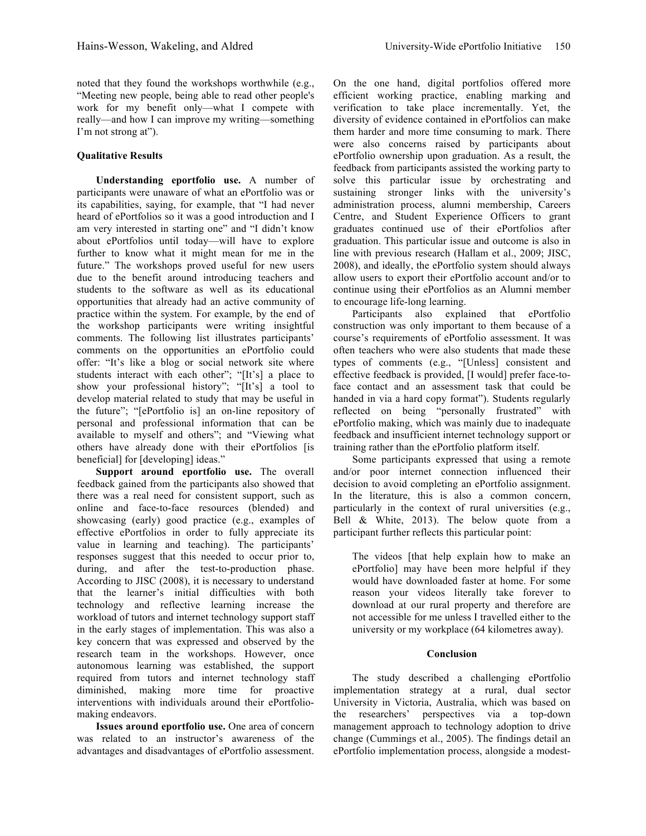noted that they found the workshops worthwhile (e.g., "Meeting new people, being able to read other people's work for my benefit only—what I compete with really—and how I can improve my writing—something I'm not strong at").

# **Qualitative Results**

**Understanding eportfolio use.** A number of participants were unaware of what an ePortfolio was or its capabilities, saying, for example, that "I had never heard of ePortfolios so it was a good introduction and I am very interested in starting one" and "I didn't know about ePortfolios until today—will have to explore further to know what it might mean for me in the future." The workshops proved useful for new users due to the benefit around introducing teachers and students to the software as well as its educational opportunities that already had an active community of practice within the system. For example, by the end of the workshop participants were writing insightful comments. The following list illustrates participants' comments on the opportunities an ePortfolio could offer: "It's like a blog or social network site where students interact with each other"; "[It's] a place to show your professional history"; "[It's] a tool to develop material related to study that may be useful in the future"; "[ePortfolio is] an on-line repository of personal and professional information that can be available to myself and others"; and "Viewing what others have already done with their ePortfolios [is beneficial] for [developing] ideas."

**Support around eportfolio use.** The overall feedback gained from the participants also showed that there was a real need for consistent support, such as online and face-to-face resources (blended) and showcasing (early) good practice (e.g., examples of effective ePortfolios in order to fully appreciate its value in learning and teaching). The participants' responses suggest that this needed to occur prior to, during, and after the test-to-production phase. According to JISC (2008), it is necessary to understand that the learner's initial difficulties with both technology and reflective learning increase the workload of tutors and internet technology support staff in the early stages of implementation. This was also a key concern that was expressed and observed by the research team in the workshops. However, once autonomous learning was established, the support required from tutors and internet technology staff diminished, making more time for proactive interventions with individuals around their ePortfoliomaking endeavors.

**Issues around eportfolio use.** One area of concern was related to an instructor's awareness of the advantages and disadvantages of ePortfolio assessment. On the one hand, digital portfolios offered more efficient working practice, enabling marking and verification to take place incrementally. Yet, the diversity of evidence contained in ePortfolios can make them harder and more time consuming to mark. There were also concerns raised by participants about ePortfolio ownership upon graduation. As a result, the feedback from participants assisted the working party to solve this particular issue by orchestrating and sustaining stronger links with the university's administration process, alumni membership, Careers Centre, and Student Experience Officers to grant graduates continued use of their ePortfolios after graduation. This particular issue and outcome is also in line with previous research (Hallam et al., 2009; JISC, 2008), and ideally, the ePortfolio system should always allow users to export their ePortfolio account and/or to continue using their ePortfolios as an Alumni member to encourage life-long learning.

Participants also explained that ePortfolio construction was only important to them because of a course's requirements of ePortfolio assessment. It was often teachers who were also students that made these types of comments (e.g., "[Unless] consistent and effective feedback is provided, [I would] prefer face-toface contact and an assessment task that could be handed in via a hard copy format"). Students regularly reflected on being "personally frustrated" with ePortfolio making, which was mainly due to inadequate feedback and insufficient internet technology support or training rather than the ePortfolio platform itself.

Some participants expressed that using a remote and/or poor internet connection influenced their decision to avoid completing an ePortfolio assignment. In the literature, this is also a common concern, particularly in the context of rural universities (e.g., Bell & White, 2013). The below quote from a participant further reflects this particular point:

The videos [that help explain how to make an ePortfolio] may have been more helpful if they would have downloaded faster at home. For some reason your videos literally take forever to download at our rural property and therefore are not accessible for me unless I travelled either to the university or my workplace (64 kilometres away).

## **Conclusion**

The study described a challenging ePortfolio implementation strategy at a rural, dual sector University in Victoria, Australia, which was based on the researchers' perspectives via a top-down management approach to technology adoption to drive change (Cummings et al., 2005). The findings detail an ePortfolio implementation process, alongside a modest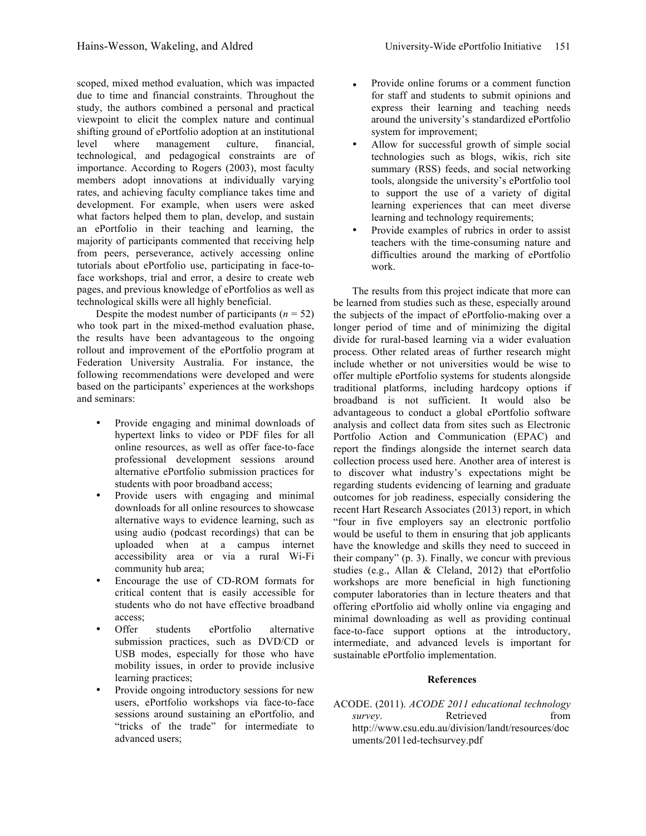scoped, mixed method evaluation, which was impacted due to time and financial constraints. Throughout the study, the authors combined a personal and practical viewpoint to elicit the complex nature and continual shifting ground of ePortfolio adoption at an institutional level where management culture, financial, technological, and pedagogical constraints are of importance. According to Rogers (2003), most faculty members adopt innovations at individually varying rates, and achieving faculty compliance takes time and development. For example, when users were asked what factors helped them to plan, develop, and sustain an ePortfolio in their teaching and learning, the majority of participants commented that receiving help from peers, perseverance, actively accessing online tutorials about ePortfolio use, participating in face-toface workshops, trial and error, a desire to create web pages, and previous knowledge of ePortfolios as well as technological skills were all highly beneficial.

Despite the modest number of participants  $(n = 52)$ who took part in the mixed-method evaluation phase, the results have been advantageous to the ongoing rollout and improvement of the ePortfolio program at Federation University Australia. For instance, the following recommendations were developed and were based on the participants' experiences at the workshops and seminars:

- Provide engaging and minimal downloads of hypertext links to video or PDF files for all online resources, as well as offer face-to-face professional development sessions around alternative ePortfolio submission practices for students with poor broadband access;
- Provide users with engaging and minimal downloads for all online resources to showcase alternative ways to evidence learning, such as using audio (podcast recordings) that can be uploaded when at a campus internet accessibility area or via a rural Wi-Fi community hub area;
- Encourage the use of CD-ROM formats for critical content that is easily accessible for students who do not have effective broadband access;
- Offer students ePortfolio alternative submission practices, such as DVD/CD or USB modes, especially for those who have mobility issues, in order to provide inclusive learning practices;
- Provide ongoing introductory sessions for new users, ePortfolio workshops via face-to-face sessions around sustaining an ePortfolio, and "tricks of the trade" for intermediate to advanced users;
- Provide online forums or a comment function for staff and students to submit opinions and express their learning and teaching needs around the university's standardized ePortfolio system for improvement;
- Allow for successful growth of simple social technologies such as blogs, wikis, rich site summary (RSS) feeds, and social networking tools, alongside the university's ePortfolio tool to support the use of a variety of digital learning experiences that can meet diverse learning and technology requirements;
- Provide examples of rubrics in order to assist teachers with the time-consuming nature and difficulties around the marking of ePortfolio work.

The results from this project indicate that more can be learned from studies such as these, especially around the subjects of the impact of ePortfolio-making over a longer period of time and of minimizing the digital divide for rural-based learning via a wider evaluation process. Other related areas of further research might include whether or not universities would be wise to offer multiple ePortfolio systems for students alongside traditional platforms, including hardcopy options if broadband is not sufficient. It would also be advantageous to conduct a global ePortfolio software analysis and collect data from sites such as Electronic Portfolio Action and Communication (EPAC) and report the findings alongside the internet search data collection process used here. Another area of interest is to discover what industry's expectations might be regarding students evidencing of learning and graduate outcomes for job readiness, especially considering the recent Hart Research Associates (2013) report, in which "four in five employers say an electronic portfolio would be useful to them in ensuring that job applicants have the knowledge and skills they need to succeed in their company" (p. 3). Finally, we concur with previous studies (e.g., Allan & Cleland, 2012) that ePortfolio workshops are more beneficial in high functioning computer laboratories than in lecture theaters and that offering ePortfolio aid wholly online via engaging and minimal downloading as well as providing continual face-to-face support options at the introductory, intermediate, and advanced levels is important for sustainable ePortfolio implementation.

## **References**

ACODE. (2011). *ACODE 2011 educational technology survey*. Retrieved from http://www.csu.edu.au/division/landt/resources/doc uments/2011ed-techsurvey.pdf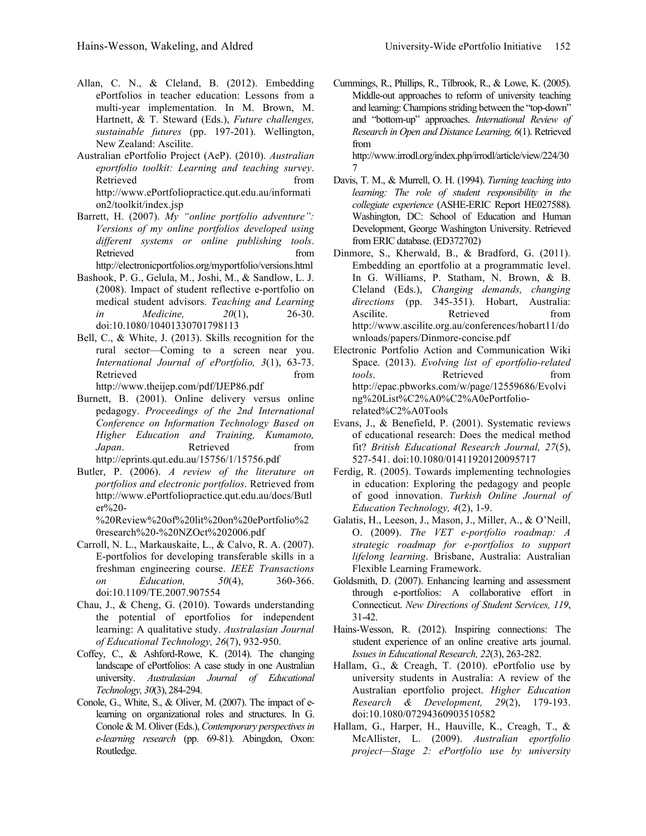- Allan, C. N., & Cleland, B. (2012). Embedding ePortfolios in teacher education: Lessons from a multi-year implementation. In M. Brown, M. Hartnett, & T. Steward (Eds.), *Future challenges, sustainable futures* (pp. 197-201). Wellington, New Zealand: Ascilite.
- Australian ePortfolio Project (AeP). (2010). *Australian eportfolio toolkit: Learning and teaching survey*. Retrieved from  $\sim$ http://www.ePortfoliopractice.qut.edu.au/informati on2/toolkit/index.jsp
- Barrett, H. (2007). *My "online portfolio adventure": Versions of my online portfolios developed using different systems or online publishing tools*. Retrieved from the state of the state of the state of the state of the state of the state of the state of the state of the state of the state of the state of the state of the state of the state of the state of the state of

http://electronicportfolios.org/myportfolio/versions.html

- Bashook, P. G., Gelula, M., Joshi, M., & Sandlow, L. J. (2008). Impact of student reflective e-portfolio on medical student advisors. *Teaching and Learning in Medicine, 20*(1), 26-30. doi:10.1080/10401330701798113
- Bell, C., & White, J. (2013). Skills recognition for the rural sector—Coming to a screen near you. *International Journal of ePortfolio, 3*(1), 63-73. Retrieved from  $\sim$

http://www.theijep.com/pdf/IJEP86.pdf

- Burnett, B. (2001). Online delivery versus online pedagogy. *Proceedings of the 2nd International Conference on Information Technology Based on Higher Education and Training, Kumamoto, Japan*. Retrieved from http://eprints.qut.edu.au/15756/1/15756.pdf
- Butler, P. (2006). *A review of the literature on portfolios and electronic portfolios*. Retrieved from http://www.ePortfoliopractice.qut.edu.au/docs/Butl er%20-

%20Review%20of%20lit%20on%20ePortfolio%2 0research%20-%20NZOct%202006.pdf

- Carroll, N. L., Markauskaite, L., & Calvo, R. A. (2007). E-portfolios for developing transferable skills in a freshman engineering course. *IEEE Transactions on Education, 50*(4), 360-366. doi:10.1109/TE.2007.907554
- Chau, J., & Cheng, G. (2010). Towards understanding the potential of eportfolios for independent learning: A qualitative study. *Australasian Journal of Educational Technology, 26*(7), 932-950.
- Coffey, C., & Ashford-Rowe, K. (2014). The changing landscape of ePortfolios: A case study in one Australian university. *Australasian Journal of Educational Technology, 30*(3), 284-294.
- Conole, G., White, S., & Oliver, M. (2007). The impact of elearning on organizational roles and structures. In G. Conole & M. Oliver (Eds.), *Contemporary perspectives in e-learning research* (pp. 69-81). Abingdon, Oxon: Routledge.

Cummings, R., Phillips, R., Tilbrook, R., & Lowe, K. (2005). Middle-out approaches to reform of university teaching and learning: Champions striding between the "top-down" and "bottom-up" approaches. *International Review of Research in Open and Distance Learning, 6*(1). Retrieved from

http://www.irrodl.org/index.php/irrodl/article/view/224/30 7

- Davis, T. M., & Murrell, O. H. (1994). *Turning teaching into learning: The role of student responsibility in the collegiate experience* (ASHE-ERIC Report HE027588). Washington, DC: School of Education and Human Development, George Washington University. Retrieved from ERIC database. (ED372702)
- Dinmore, S., Kherwald, B., & Bradford, G. (2011). Embedding an eportfolio at a programmatic level. In G. Williams, P. Statham, N. Brown, & B. Cleland (Eds.), *Changing demands, changing directions* (pp. 345-351). Hobart, Australia: Ascilite. Retrieved from http://www.ascilite.org.au/conferences/hobart11/do wnloads/papers/Dinmore-concise.pdf
- Electronic Portfolio Action and Communication Wiki Space. (2013). *Evolving list of eportfolio-related tools*. Retrieved from http://epac.pbworks.com/w/page/12559686/Evolvi ng%20List%C2%A0%C2%A0ePortfoliorelated%C2%A0Tools
- Evans, J., & Benefield, P. (2001). Systematic reviews of educational research: Does the medical method fit? *British Educational Research Journal, 27*(5), 527-541. doi:10.1080/01411920120095717
- Ferdig, R. (2005). Towards implementing technologies in education: Exploring the pedagogy and people of good innovation. *Turkish Online Journal of Education Technology, 4*(2), 1-9.
- Galatis, H., Leeson, J., Mason, J., Miller, A., & O'Neill, O. (2009). *The VET e-portfolio roadmap: A strategic roadmap for e-portfolios to support lifelong learning*. Brisbane, Australia: Australian Flexible Learning Framework.
- Goldsmith, D. (2007). Enhancing learning and assessment through e-portfolios: A collaborative effort in Connecticut. *New Directions of Student Services, 119*, 31-42.
- Hains-Wesson, R. (2012). Inspiring connections: The student experience of an online creative arts journal. *Issues in Educational Research, 22*(3), 263-282.
- Hallam, G., & Creagh, T. (2010). ePortfolio use by university students in Australia: A review of the Australian eportfolio project. *Higher Education Research & Development, 29*(2), 179-193. doi:10.1080/07294360903510582
- Hallam, G., Harper, H., Hauville, K., Creagh, T., & McAllister, L. (2009). *Australian eportfolio project—Stage 2: ePortfolio use by university*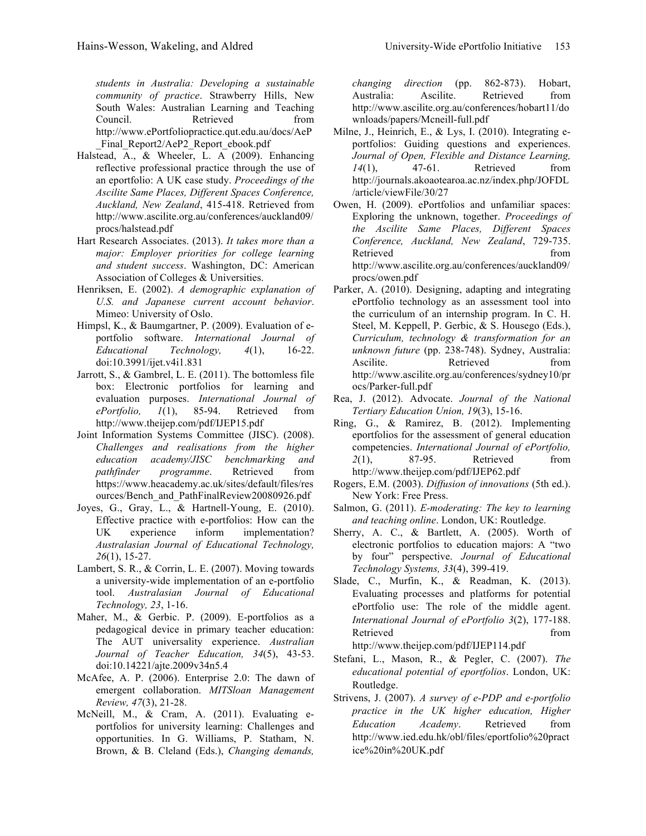*students in Australia: Developing a sustainable community of practice*. Strawberry Hills, New South Wales: Australian Learning and Teaching Council. Retrieved from http://www.ePortfoliopractice.qut.edu.au/docs/AeP Final Report2/AeP2 Report ebook.pdf

- Halstead, A., & Wheeler, L. A (2009). Enhancing reflective professional practice through the use of an eportfolio: A UK case study. *Proceedings of the Ascilite Same Places, Different Spaces Conference, Auckland, New Zealand*, 415-418. Retrieved from http://www.ascilite.org.au/conferences/auckland09/ procs/halstead.pdf
- Hart Research Associates. (2013). *It takes more than a major: Employer priorities for college learning and student success*. Washington, DC: American Association of Colleges & Universities.
- Henriksen, E. (2002). *A demographic explanation of U.S. and Japanese current account behavior*. Mimeo: University of Oslo.
- Himpsl, K., & Baumgartner, P. (2009). Evaluation of eportfolio software. *International Journal of Educational Technology, 4*(1), 16-22. doi:10.3991/ijet.v4i1.831
- Jarrott, S., & Gambrel, L. E. (2011). The bottomless file box: Electronic portfolios for learning and evaluation purposes. *International Journal of ePortfolio, 1*(1), 85-94. Retrieved from http://www.theijep.com/pdf/IJEP15.pdf
- Joint Information Systems Committee (JISC). (2008). *Challenges and realisations from the higher education academy/JISC benchmarking and pathfinder programme*. Retrieved from https://www.heacademy.ac.uk/sites/default/files/res ources/Bench\_and\_PathFinalReview20080926.pdf
- Joyes, G., Gray, L., & Hartnell-Young, E. (2010). Effective practice with e-portfolios: How can the UK experience inform implementation? *Australasian Journal of Educational Technology, 26*(1), 15-27.
- Lambert, S. R., & Corrin, L. E. (2007). Moving towards a university-wide implementation of an e-portfolio tool. *Australasian Journal of Educational Technology, 23*, 1-16.
- Maher, M., & Gerbic. P. (2009). E-portfolios as a pedagogical device in primary teacher education: The AUT universality experience. *Australian Journal of Teacher Education, 34*(5), 43-53. doi:10.14221/ajte.2009v34n5.4
- McAfee, A. P. (2006). Enterprise 2.0: The dawn of emergent collaboration. *MITSloan Management Review, 47*(3), 21-28.
- McNeill, M., & Cram, A. (2011). Evaluating eportfolios for university learning: Challenges and opportunities. In G. Williams, P. Statham, N. Brown, & B. Cleland (Eds.), *Changing demands,*

*changing direction* (pp. 862-873). Hobart, Australia: Ascilite. Retrieved from http://www.ascilite.org.au/conferences/hobart11/do wnloads/papers/Mcneill-full.pdf

- Milne, J., Heinrich, E., & Lys, I. (2010). Integrating eportfolios: Guiding questions and experiences. *Journal of Open, Flexible and Distance Learning, 14*(1), 47-61. Retrieved from http://journals.akoaotearoa.ac.nz/index.php/JOFDL /article/viewFile/30/27
- Owen, H. (2009). ePortfolios and unfamiliar spaces: Exploring the unknown, together. *Proceedings of the Ascilite Same Places, Different Spaces Conference, Auckland, New Zealand*, 729-735. Retrieved from the settlement of the settlement of the settlement of the settlement of the settlement of the set http://www.ascilite.org.au/conferences/auckland09/ procs/owen.pdf
- Parker, A. (2010). Designing, adapting and integrating ePortfolio technology as an assessment tool into the curriculum of an internship program. In C. H. Steel, M. Keppell, P. Gerbic, & S. Housego (Eds.), *Curriculum, technology & transformation for an unknown future* (pp. 238-748). Sydney, Australia: Ascilite. Retrieved from http://www.ascilite.org.au/conferences/sydney10/pr ocs/Parker-full.pdf
- Rea, J. (2012). Advocate. *Journal of the National Tertiary Education Union, 19*(3), 15-16.
- Ring, G., & Ramirez, B. (2012). Implementing eportfolios for the assessment of general education competencies. *International Journal of ePortfolio, 2*(1), 87-95. Retrieved from http://www.theijep.com/pdf/IJEP62.pdf
- Rogers, E.M. (2003). *Diffusion of innovations* (5th ed.). New York: Free Press.
- Salmon, G. (2011). *E-moderating: The key to learning and teaching online*. London, UK: Routledge.
- Sherry, A. C., & Bartlett, A. (2005). Worth of electronic portfolios to education majors: A "two by four" perspective. *Journal of Educational Technology Systems, 33*(4), 399-419.
- Slade, C., Murfin, K., & Readman, K. (2013). Evaluating processes and platforms for potential ePortfolio use: The role of the middle agent. *International Journal of ePortfolio 3*(2), 177-188. Retrieved from the settlement of the settlement of the settlement of the settlement of the settlement of the settlement of the settlement of the settlement of the settlement of the settlement of the settlement of the settl http://www.theijep.com/pdf/IJEP114.pdf
- Stefani, L., Mason, R., & Pegler, C. (2007). *The educational potential of eportfolios*. London, UK: Routledge.
- Strivens, J. (2007). *A survey of e-PDP and e-portfolio practice in the UK higher education, Higher Education Academy*. Retrieved from http://www.ied.edu.hk/obl/files/eportfolio%20pract ice%20in%20UK.pdf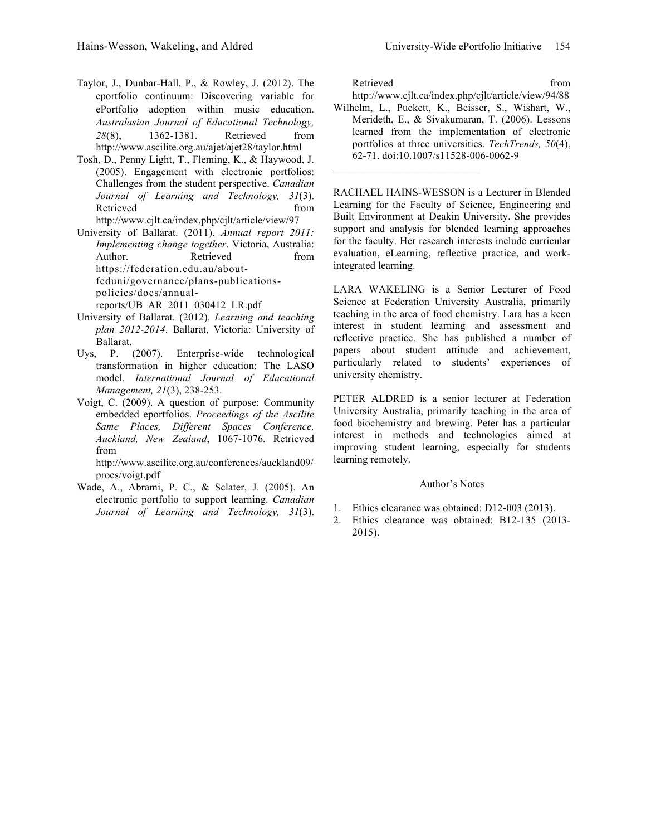- Taylor, J., Dunbar-Hall, P., & Rowley, J. (2012). The eportfolio continuum: Discovering variable for ePortfolio adoption within music education. *Australasian Journal of Educational Technology,* 28(8), 1362-1381. Retrieved from http://www.ascilite.org.au/ajet/ajet28/taylor.html
- Tosh, D., Penny Light, T., Fleming, K., & Haywood, J. (2005). Engagement with electronic portfolios: Challenges from the student perspective. *Canadian Journal of Learning and Technology, 31*(3). Retrieved from the state of the state of the state of the state of the state of the state of the state of the state of the state of the state of the state of the state of the state of the state of the state of the state of http://www.cjlt.ca/index.php/cjlt/article/view/97
- University of Ballarat. (2011). *Annual report 2011: Implementing change together*. Victoria, Australia: Author. Retrieved from https://federation.edu.au/aboutfeduni/governance/plans-publicationspolicies/docs/annualreports/UB\_AR\_2011\_030412\_LR.pdf
- University of Ballarat. (2012). *Learning and teaching plan 2012-2014*. Ballarat, Victoria: University of Ballarat.
- Uys, P. (2007). Enterprise-wide technological transformation in higher education: The LASO model. *International Journal of Educational Management, 21*(3), 238-253.
- Voigt, C. (2009). A question of purpose: Community embedded eportfolios. *Proceedings of the Ascilite Same Places, Different Spaces Conference, Auckland, New Zealand*, 1067-1076. Retrieved from

http://www.ascilite.org.au/conferences/auckland09/ procs/voigt.pdf

Wade, A., Abrami, P. C., & Sclater, J. (2005). An electronic portfolio to support learning. *Canadian Journal of Learning and Technology, 31*(3).

Retrieved from the state of the state of the state of the state of the state of the state of the state of the state of the state of the state of the state of the state of the state of the state of the state of the state of http://www.cjlt.ca/index.php/cjlt/article/view/94/88

Wilhelm, L., Puckett, K., Beisser, S., Wishart, W., Merideth, E., & Sivakumaran, T. (2006). Lessons learned from the implementation of electronic portfolios at three universities. *TechTrends, 50*(4), 62-71. doi:10.1007/s11528-006-0062-9

RACHAEL HAINS-WESSON is a Lecturer in Blended Learning for the Faculty of Science, Engineering and Built Environment at Deakin University. She provides support and analysis for blended learning approaches for the faculty. Her research interests include curricular evaluation, eLearning, reflective practice, and workintegrated learning.

LARA WAKELING is a Senior Lecturer of Food Science at Federation University Australia, primarily teaching in the area of food chemistry. Lara has a keen interest in student learning and assessment and reflective practice. She has published a number of papers about student attitude and achievement, particularly related to students' experiences of university chemistry.

PETER ALDRED is a senior lecturer at Federation University Australia, primarily teaching in the area of food biochemistry and brewing. Peter has a particular interest in methods and technologies aimed at improving student learning, especially for students learning remotely.

## Author's Notes

- 1. Ethics clearance was obtained: D12-003 (2013).
- 2. Ethics clearance was obtained: B12-135 (2013- 2015).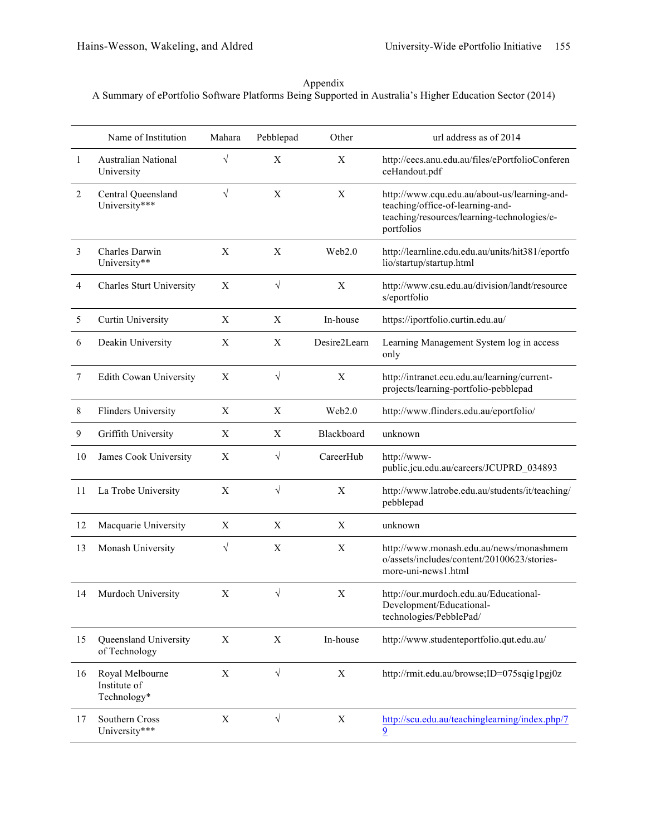| Appendix                                                                                                 |  |
|----------------------------------------------------------------------------------------------------------|--|
| A Summary of ePortfolio Software Platforms Being Supported in Australia's Higher Education Sector (2014) |  |

|                | Name of Institution                            | Mahara    | Pebblepad  | Other        | url address as of 2014                                                                                                                        |
|----------------|------------------------------------------------|-----------|------------|--------------|-----------------------------------------------------------------------------------------------------------------------------------------------|
| 1              | <b>Australian National</b><br>University       | $\sqrt{}$ | X          | X            | http://cecs.anu.edu.au/files/ePortfolioConferen<br>ceHandout.pdf                                                                              |
| $\overline{2}$ | Central Queensland<br>University***            | $\sqrt{}$ | X          | X            | http://www.cqu.edu.au/about-us/learning-and-<br>teaching/office-of-learning-and-<br>teaching/resources/learning-technologies/e-<br>portfolios |
| 3              | Charles Darwin<br>University**                 | X         | X          | Web2.0       | http://learnline.cdu.edu.au/units/hit381/eportfo<br>lio/startup/startup.html                                                                  |
| 4              | <b>Charles Sturt University</b>                | Χ         | $\sqrt{ }$ | X            | http://www.csu.edu.au/division/landt/resource<br>s/eportfolio                                                                                 |
| 5              | <b>Curtin University</b>                       | Χ         | X          | In-house     | https://iportfolio.curtin.edu.au/                                                                                                             |
| 6              | Deakin University                              | X         | X          | Desire2Learn | Learning Management System log in access<br>only                                                                                              |
| 7              | Edith Cowan University                         | X         | $\sqrt{}$  | X            | http://intranet.ecu.edu.au/learning/current-<br>projects/learning-portfolio-pebblepad                                                         |
| 8              | Flinders University                            | X         | X          | Web2.0       | http://www.flinders.edu.au/eportfolio/                                                                                                        |
| 9              | Griffith University                            | Χ         | X          | Blackboard   | unknown                                                                                                                                       |
| 10             | James Cook University                          | X         | $\sqrt{}$  | CareerHub    | http://www-<br>public.jcu.edu.au/careers/JCUPRD_034893                                                                                        |
| 11             | La Trobe University                            | X         | $\sqrt{}$  | X            | http://www.latrobe.edu.au/students/it/teaching/<br>pebblepad                                                                                  |
| 12             | Macquarie University                           | X         | X          | X            | unknown                                                                                                                                       |
| 13             | Monash University                              | $\sqrt{}$ | X          | X            | http://www.monash.edu.au/news/monashmem<br>o/assets/includes/content/20100623/stories-<br>more-uni-news1.html                                 |
| 14             | Murdoch University                             | X         | $\sqrt{}$  | X            | http://our.murdoch.edu.au/Educational-<br>Development/Educational-<br>technologies/PebblePad/                                                 |
| 15             | Queensland University<br>of Technology         | Χ         | X          | In-house     | http://www.studenteportfolio.qut.edu.au/                                                                                                      |
| 16             | Royal Melbourne<br>Institute of<br>Technology* | X         | $\sqrt{}$  | $\mathbf X$  | http://rmit.edu.au/browse;ID=075sqig1pgj0z                                                                                                    |
| 17             | Southern Cross<br>University***                | X         | $\sqrt{}$  | X            | http://scu.edu.au/teachinglearning/index.php/7<br>$\overline{9}$                                                                              |